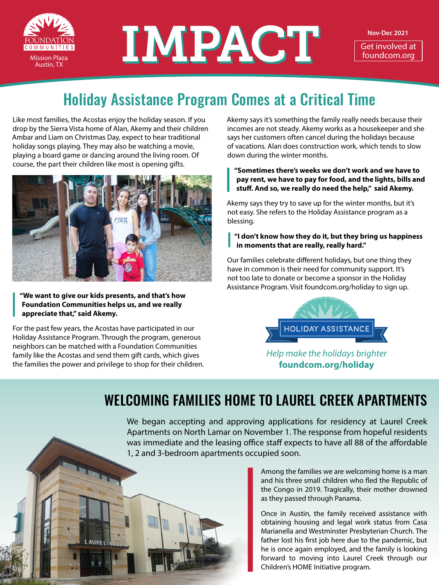

# DUNDATION MINITIES **INDUSTRACTE**

**Nov-Dec 2021**

Get involved at<br>foundcom.org

## Holiday Assistance Program Comes at a Critical Time

Like most families, the Acostas enjoy the holiday season. If you drop by the Sierra Vista home of Alan, Akemy and their children Ambar and Liam on Christmas Day, expect to hear traditional holiday songs playing. They may also be watching a movie, playing a board game or dancing around the living room. Of course, the part their children like most is opening gifts.



**"We want to give our kids presents, and that's how Foundation Communities helps us, and we really appreciate that," said Akemy.**

For the past few years, the Acostas have participated in our Holiday Assistance Program. Through the program, generous neighbors can be matched with a Foundation Communities family like the Acostas and send them gift cards, which gives the families the power and privilege to shop for their children. Akemy says it's something the family really needs because their incomes are not steady. Akemy works as a housekeeper and she says her customers often cancel during the holidays because of vacations. Alan does construction work, which tends to slow down during the winter months.

**"Sometimes there's weeks we don't work and we have to pay rent, we have to pay for food, and the lights, bills and stuff. And so, we really do need the help," said Akemy.**

Akemy says they try to save up for the winter months, but it's not easy. She refers to the Holiday Assistance program as a blessing.

#### **"I don't know how they do it, but they bring us happiness in moments that are really, really hard."**

Our families celebrate different holidays, but one thing they have in common is their need for community support. It's not too late to donate or become a sponsor in the Holiday Assistance Program. Visit [foundcom.org/holiday](http://foundcom.org/holiday) to sign up.



*Help make the holidays brighter* **[foundcom.org/holiday](http://foundcom.org/holiday)**

### WELCOMING FAMILIES HOME TO LAUREL CREEK APARTMENTS

We began accepting and approving applications for residency at Laurel Creek Apartments on North Lamar on November 1. The response from hopeful residents was immediate and the leasing office staff expects to have all 88 of the affordable 1, 2 and 3-bedroom apartments occupied soon.

> Among the families we are welcoming home is a man and his three small children who fled the Republic of the Congo in 2019. Tragically, their mother drowned as they passed through Panama.

> Once in Austin, the family received assistance with obtaining housing and legal work status from Casa Marianella and Westminster Presbyterian Church. The father lost his first job here due to the pandemic, but he is once again employed, and the family is looking forward to moving into Laurel Creek through our Children's HOME Initiative program.